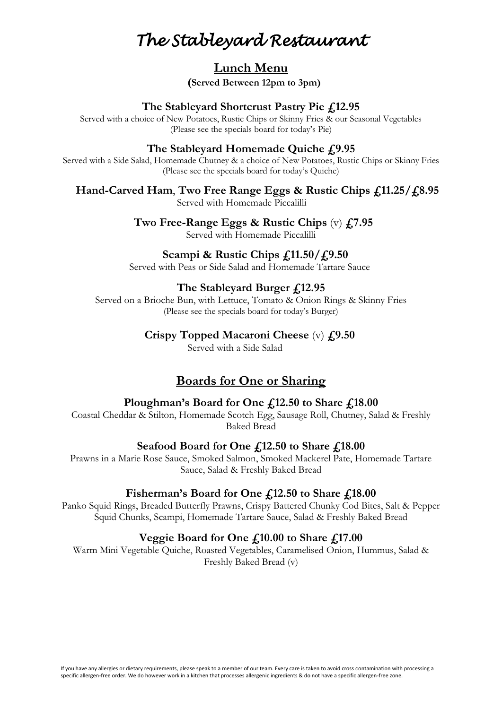## **Lunch Menu**

**(Served Between 12pm to 3pm)**

### **The Stableyard Shortcrust Pastry Pie £12.95**

Served with a choice of New Potatoes, Rustic Chips or Skinny Fries & our Seasonal Vegetables (Please see the specials board for today's Pie)

#### **The Stableyard Homemade Quiche £9.95**

Served with a Side Salad, Homemade Chutney & a choice of New Potatoes, Rustic Chips or Skinny Fries (Please see the specials board for today's Quiche)

#### **Hand-Carved Ham**, **Two Free Range Eggs & Rustic Chips £11.25/£8.95**

Served with Homemade Piccalilli

 **Two Free-Range Eggs & Rustic Chips** (v) **£7.95**

Served with Homemade Piccalilli

### **Scampi & Rustic Chips £11.50/£9.50**

Served with Peas or Side Salad and Homemade Tartare Sauce

### **The Stableyard Burger £12.95**

Served on a Brioche Bun, with Lettuce, Tomato & Onion Rings & Skinny Fries (Please see the specials board for today's Burger)

#### **Crispy Topped Macaroni Cheese** (v) **£9.50**

Served with a Side Salad

## **Boards for One or Sharing**

#### **Ploughman's Board for One £12.50 to Share £18.00**

Coastal Cheddar & Stilton, Homemade Scotch Egg, Sausage Roll, Chutney, Salad & Freshly Baked Bread

### **Seafood Board for One £12.50 to Share £18.00**

Prawns in a Marie Rose Sauce, Smoked Salmon, Smoked Mackerel Pate, Homemade Tartare Sauce, Salad & Freshly Baked Bread

### Fisherman's Board for One £12.50 to Share £18.00

Panko Squid Rings, Breaded Butterfly Prawns, Crispy Battered Chunky Cod Bites, Salt & Pepper Squid Chunks, Scampi, Homemade Tartare Sauce, Salad & Freshly Baked Bread

### **Veggie Board for One £10.00 to Share £17.00**

Warm Mini Vegetable Quiche, Roasted Vegetables, Caramelised Onion, Hummus, Salad & Freshly Baked Bread (v)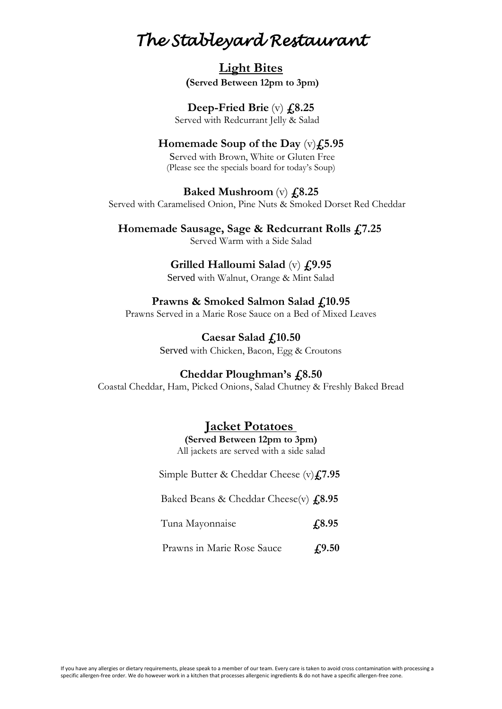## **Light Bites (Served Between 12pm to 3pm)**

# **Deep-Fried Brie** (v) **£8.25**

Served with Redcurrant Jelly & Salad

## **Homemade Soup of the Day** (v)**£5.95**

 Served with Brown, White or Gluten Free (Please see the specials board for today's Soup)

#### **Baked Mushroom** (v) **£8.25**

Served with Caramelised Onion, Pine Nuts & Smoked Dorset Red Cheddar

**Homemade Sausage, Sage & Redcurrant Rolls £7.25** Served Warm with a Side Salad

## **Grilled Halloumi Salad** (v) **£9.95**

Served with Walnut, Orange & Mint Salad

## Prawns & Smoked Salmon Salad £,10.95

Prawns Served in a Marie Rose Sauce on a Bed of Mixed Leaves

**Caesar Salad £10.50** Served with Chicken, Bacon, Egg & Croutons

### **Cheddar Ploughman's £8.50**

Coastal Cheddar, Ham, Picked Onions, Salad Chutney & Freshly Baked Bread

## **Jacket Potatoes**

**(Served Between 12pm to 3pm)** All jackets are served with a side salad

Simple Butter & Cheddar Cheese (v)**£7.95**

Baked Beans & Cheddar Cheese(v) **£8.95**

Tuna Mayonnaise **£8.95**

Prawns in Marie Rose Sauce **£9.50**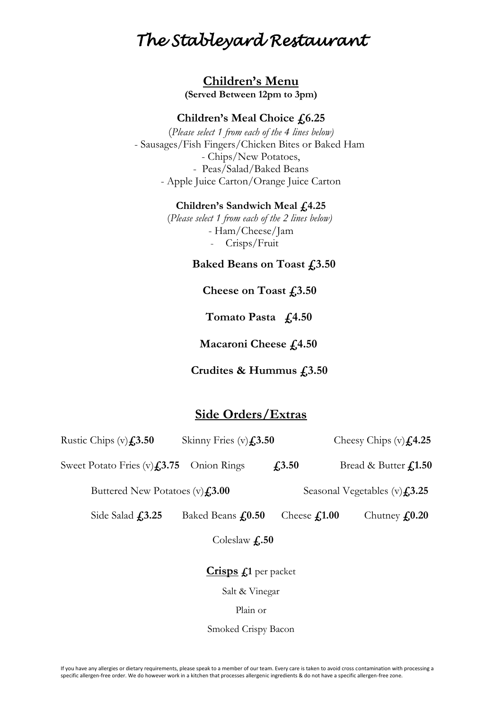**Children's Menu (Served Between 12pm to 3pm)**

#### **Children's Meal Choice £6.25**

(*Please select 1 from each of the 4 lines below)* - Sausages/Fish Fingers/Chicken Bites or Baked Ham - Chips/New Potatoes, - Peas/Salad/Baked Beans - Apple Juice Carton/Orange Juice Carton

#### **Children's Sandwich Meal £4.25**

(*Please select 1 from each of the 2 lines below)* - Ham/Cheese/Jam - Crisps/Fruit

 **Baked Beans on Toast £3.50**

**Cheese on Toast £3.50**

 **Tomato Pasta £4.50**

 **Macaroni Cheese £4.50**

 **Crudites & Hummus £3.50**

## **Side Orders/Extras**

| Rustic Chips $(v)$ <b>£3.50</b>                     | Skinny Fries $(v)$ <b>£3.50</b> |                                        | Cheesy Chips $(v)$ <b>£4.25</b> |
|-----------------------------------------------------|---------------------------------|----------------------------------------|---------------------------------|
| Sweet Potato Fries (v) $\textbf{\textsterling}3.75$ | Onion Rings                     | $f_{1,3.50}$                           | Bread & Butter £1.50            |
| Buttered New Potatoes $(v)$ <b>£3.00</b>            |                                 | Seasonal Vegetables $(v)$ <b>£3.25</b> |                                 |
| Side Salad $f$ , 3.25                               | Baked Beans <b>£0.50</b>        | Cheese $f_{1.00}$                      | Chutney $f_{\rm s}0.20$         |
|                                                     | Coleslaw $f_{\cdot}$ .50        |                                        |                                 |
|                                                     | Crisps £1 per packet            |                                        |                                 |
|                                                     | Salt & Vinegar                  |                                        |                                 |

Plain or

Smoked Crispy Bacon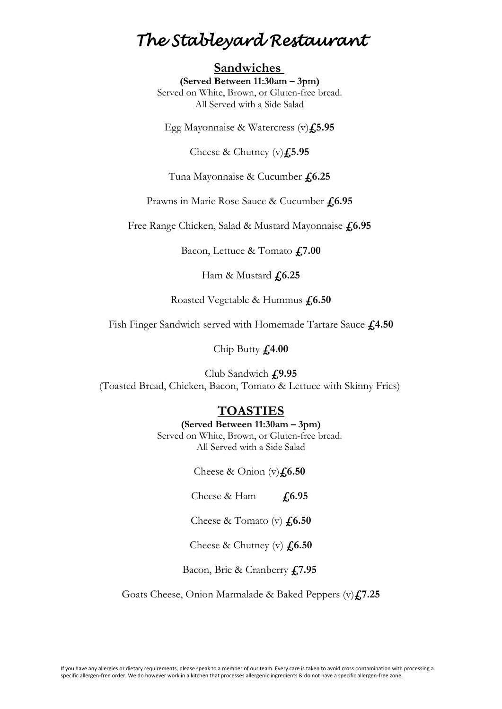## **Sandwiches**

**(Served Between 11:30am – 3pm)** Served on White, Brown, or Gluten-free bread. All Served with a Side Salad

Egg Mayonnaise & Watercress (v)**£5.95**

Cheese & Chutney (v)**£5.95**

Tuna Mayonnaise & Cucumber **£6.25**

Prawns in Marie Rose Sauce & Cucumber **£6.95**

Free Range Chicken, Salad & Mustard Mayonnaise **£6.95**

Bacon, Lettuce & Tomato **£7.00**

Ham & Mustard **£6.25**

Roasted Vegetable & Hummus **£6.50**

Fish Finger Sandwich served with Homemade Tartare Sauce **£4.50**

Chip Butty **£4.00**

Club Sandwich **£9.95** (Toasted Bread, Chicken, Bacon, Tomato & Lettuce with Skinny Fries)

## **TOASTIES**

#### **(Served Between 11:30am – 3pm)**

Served on White, Brown, or Gluten-free bread. All Served with a Side Salad

Cheese & Onion (v) $\textbf{\textit{L}}$ 6.50

Cheese & Ham **£6.95**

Cheese & Tomato (v) **£6.50**

Cheese & Chutney (v) **£6.50**

Bacon, Brie & Cranberry **£7.95**

Goats Cheese, Onion Marmalade & Baked Peppers (v)**£7.25**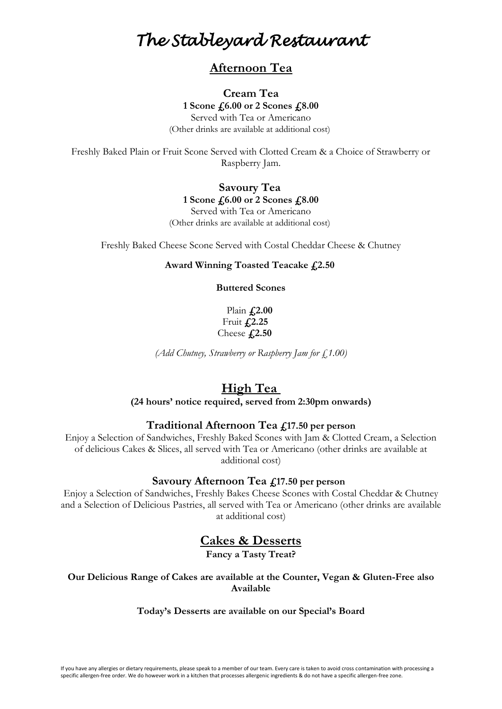## **Afternoon Tea**

### **Cream Tea 1 Scone £6.00 or 2 Scones £8.00**

Served with Tea or Americano (Other drinks are available at additional cost)

Freshly Baked Plain or Fruit Scone Served with Clotted Cream & a Choice of Strawberry or Raspberry Jam.

#### **Savoury Tea 1 Scone £6.00 or 2 Scones £8.00** Served with Tea or Americano

(Other drinks are available at additional cost)

Freshly Baked Cheese Scone Served with Costal Cheddar Cheese & Chutney

#### **Award Winning Toasted Teacake £2.50**

**Buttered Scones**

Plain **£2.00** Fruit **£2.25** Cheese **£2.50**

*(Add Chutney, Strawberry or Raspberry Jam for £1.00)*

## **High Tea**

**(24 hours' notice required, served from 2:30pm onwards)**

#### **Traditional Afternoon Tea £17.50 per person**

Enjoy a Selection of Sandwiches, Freshly Baked Scones with Jam & Clotted Cream, a Selection of delicious Cakes & Slices, all served with Tea or Americano (other drinks are available at additional cost)

#### **Savoury Afternoon Tea £17.50 per person**

Enjoy a Selection of Sandwiches, Freshly Bakes Cheese Scones with Costal Cheddar & Chutney and a Selection of Delicious Pastries, all served with Tea or Americano (other drinks are available at additional cost)

## **Cakes & Desserts**

**Fancy a Tasty Treat?**

**Our Delicious Range of Cakes are available at the Counter, Vegan & Gluten-Free also Available**

#### **Today's Desserts are available on our Special's Board**